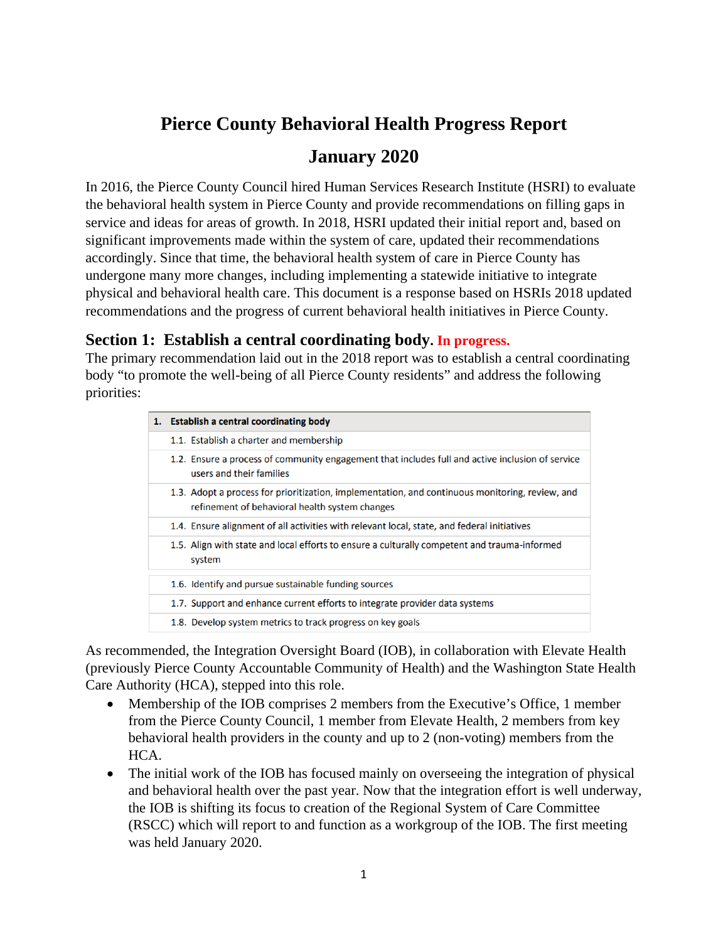# **Pierce County Behavioral Health Progress Report**

# **January 2020**

In 2016, the Pierce County Council hired Human Services Research Institute (HSRI) to evaluate the behavioral health system in Pierce County and provide recommendations on filling gaps in service and ideas for areas of growth. In 2018, HSRI updated their initial report and, based on significant improvements made within the system of care, updated their recommendations accordingly. Since that time, the behavioral health system of care in Pierce County has undergone many more changes, including implementing a statewide initiative to integrate physical and behavioral health care. This document is a response based on HSRIs 2018 updated recommendations and the progress of current behavioral health initiatives in Pierce County.

# **Section 1: Establish a central coordinating body. In progress.**

The primary recommendation laid out in the 2018 report was to establish a central coordinating body "to promote the well-being of all Pierce County residents" and address the following priorities:

| 1. Establish a central coordinating body                                                                                                          |
|---------------------------------------------------------------------------------------------------------------------------------------------------|
| 1.1. Establish a charter and membership                                                                                                           |
| 1.2. Ensure a process of community engagement that includes full and active inclusion of service<br>users and their families                      |
| 1.3. Adopt a process for prioritization, implementation, and continuous monitoring, review, and<br>refinement of behavioral health system changes |
| 1.4. Ensure alignment of all activities with relevant local, state, and federal initiatives                                                       |
| 1.5. Align with state and local efforts to ensure a culturally competent and trauma-informed<br>system                                            |
| 1.6. Identify and pursue sustainable funding sources                                                                                              |
| 1.7. Support and enhance current efforts to integrate provider data systems                                                                       |
| 1.8. Develop system metrics to track progress on key goals                                                                                        |

As recommended, the Integration Oversight Board (IOB), in collaboration with Elevate Health (previously Pierce County Accountable Community of Health) and the Washington State Health Care Authority (HCA), stepped into this role.

- Membership of the IOB comprises 2 members from the Executive's Office, 1 member from the Pierce County Council, 1 member from Elevate Health, 2 members from key behavioral health providers in the county and up to 2 (non-voting) members from the HCA.
- The initial work of the IOB has focused mainly on overseeing the integration of physical and behavioral health over the past year. Now that the integration effort is well underway, the IOB is shifting its focus to creation of the Regional System of Care Committee (RSCC) which will report to and function as a workgroup of the IOB. The first meeting was held January 2020.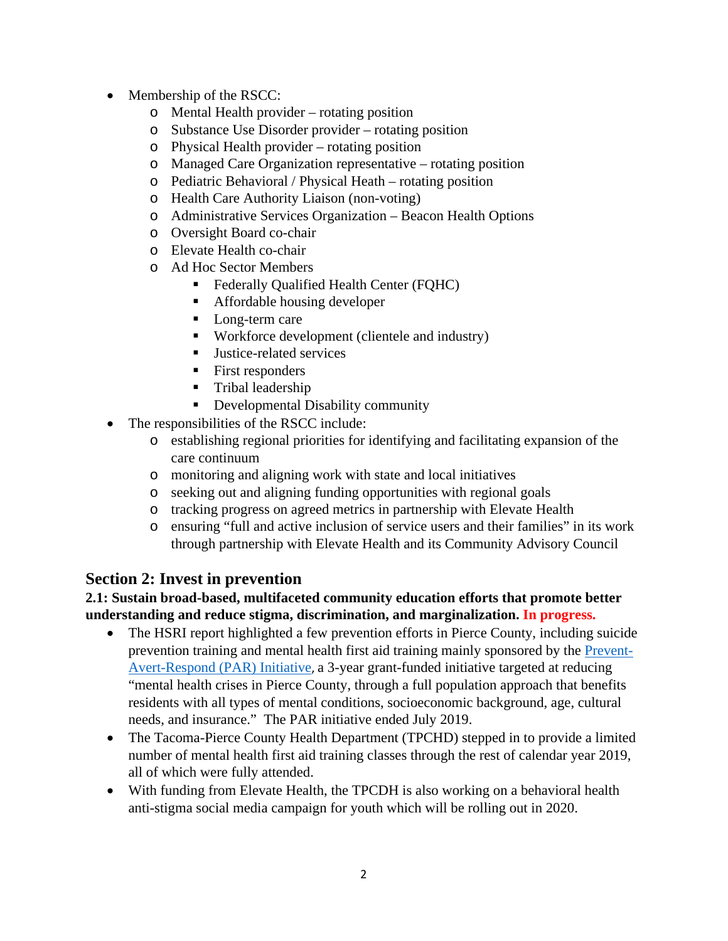- Membership of the RSCC:
	- o Mental Health provider rotating position
	- o Substance Use Disorder provider rotating position
	- o Physical Health provider rotating position
	- o Managed Care Organization representative rotating position
	- o Pediatric Behavioral / Physical Heath rotating position
	- o Health Care Authority Liaison (non-voting)
	- o Administrative Services Organization Beacon Health Options
	- o Oversight Board co-chair
	- o Elevate Health co-chair
	- o Ad Hoc Sector Members
		- Federally Qualified Health Center (FQHC)
		- Affordable housing developer
		- Long-term care
		- Workforce development (clientele and industry)
		- Justice-related services
		- First responders
		- **Tribal leadership**
		- Developmental Disability community
- The responsibilities of the RSCC include:
	- o establishing regional priorities for identifying and facilitating expansion of the care continuum
	- o monitoring and aligning work with state and local initiatives
	- o seeking out and aligning funding opportunities with regional goals
	- o tracking progress on agreed metrics in partnership with Elevate Health
	- o ensuring "full and active inclusion of service users and their families" in its work through partnership with Elevate Health and its Community Advisory Council

# **Section 2: Invest in prevention**

**2.1: Sustain broad-based, multifaceted community education efforts that promote better understanding and reduce stigma, discrimination, and marginalization. In progress.**

- The HSRI report highlighted a few prevention efforts in Pierce County, including suicide prevention training and mental health first aid training mainly sponsored by the Prevent-Avert-Respond (PAR) Initiative, a 3-year grant-funded initiative targeted at reducing "mental health crises in Pierce County, through a full population approach that benefits residents with all types of mental conditions, socioeconomic background, age, cultural needs, and insurance." The PAR initiative ended July 2019.
- The Tacoma-Pierce County Health Department (TPCHD) stepped in to provide a limited number of mental health first aid training classes through the rest of calendar year 2019, all of which were fully attended.
- With funding from Elevate Health, the TPCDH is also working on a behavioral health anti-stigma social media campaign for youth which will be rolling out in 2020.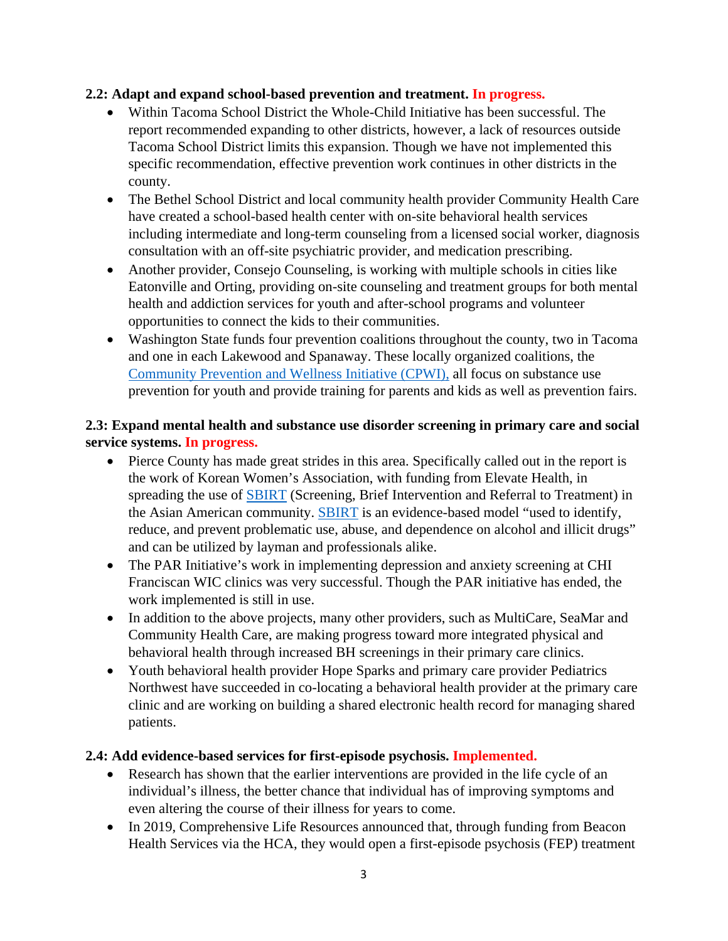# **2.2: Adapt and expand school-based prevention and treatment. In progress.**

- Within Tacoma School District the Whole-Child Initiative has been successful. The report recommended expanding to other districts, however, a lack of resources outside Tacoma School District limits this expansion. Though we have not implemented this specific recommendation, effective prevention work continues in other districts in the county.
- The Bethel School District and local community health provider Community Health Care have created a school-based health center with on-site behavioral health services including intermediate and long-term counseling from a licensed social worker, diagnosis consultation with an off-site psychiatric provider, and medication prescribing.
- Another provider, Consejo Counseling, is working with multiple schools in cities like Eatonville and Orting, providing on-site counseling and treatment groups for both mental health and addiction services for youth and after-school programs and volunteer opportunities to connect the kids to their communities.
- Washington State funds four prevention coalitions throughout the county, two in Tacoma and one in each Lakewood and Spanaway. These locally organized coalitions, the Community Prevention and Wellness Initiative (CPWI), all focus on substance use prevention for youth and provide training for parents and kids as well as prevention fairs.

# **2.3: Expand mental health and substance use disorder screening in primary care and social service systems. In progress.**

- Pierce County has made great strides in this area. Specifically called out in the report is the work of Korean Women's Association, with funding from Elevate Health, in spreading the use of **SBIRT** (Screening, Brief Intervention and Referral to Treatment) in the Asian American community. SBIRT is an evidence-based model "used to identify, reduce, and prevent problematic use, abuse, and dependence on alcohol and illicit drugs" and can be utilized by layman and professionals alike.
- The PAR Initiative's work in implementing depression and anxiety screening at CHI Franciscan WIC clinics was very successful. Though the PAR initiative has ended, the work implemented is still in use.
- In addition to the above projects, many other providers, such as MultiCare, SeaMar and Community Health Care, are making progress toward more integrated physical and behavioral health through increased BH screenings in their primary care clinics.
- Youth behavioral health provider Hope Sparks and primary care provider Pediatrics Northwest have succeeded in co-locating a behavioral health provider at the primary care clinic and are working on building a shared electronic health record for managing shared patients.

# **2.4: Add evidence-based services for first-episode psychosis. Implemented.**

- Research has shown that the earlier interventions are provided in the life cycle of an individual's illness, the better chance that individual has of improving symptoms and even altering the course of their illness for years to come.
- In 2019, Comprehensive Life Resources announced that, through funding from Beacon Health Services via the HCA, they would open a first-episode psychosis (FEP) treatment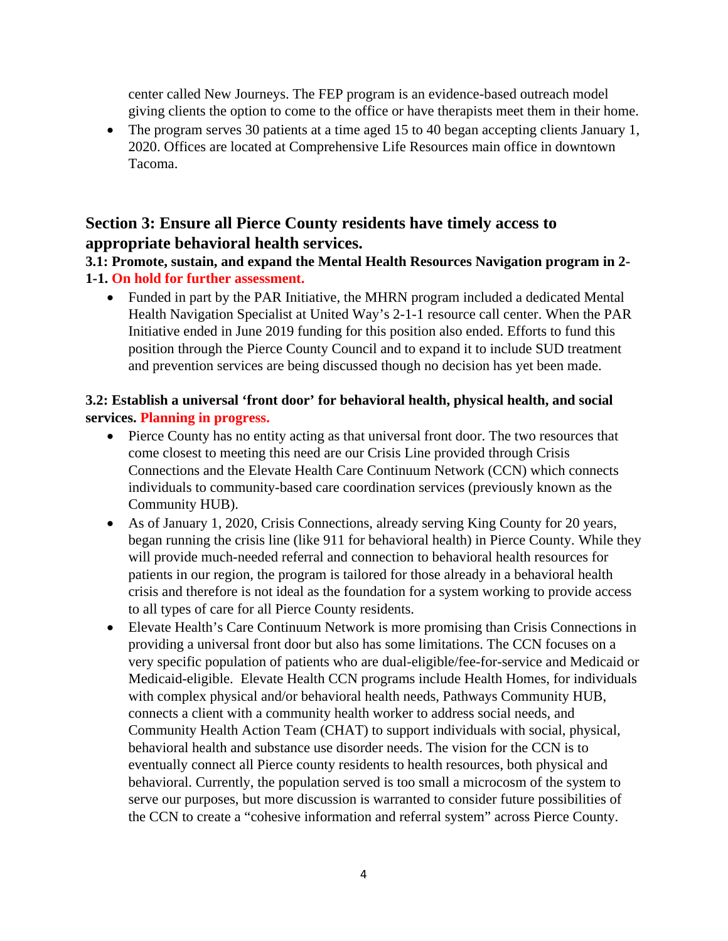center called New Journeys. The FEP program is an evidence-based outreach model giving clients the option to come to the office or have therapists meet them in their home.

• The program serves 30 patients at a time aged 15 to 40 began accepting clients January 1, 2020. Offices are located at Comprehensive Life Resources main office in downtown Tacoma.

# **Section 3: Ensure all Pierce County residents have timely access to appropriate behavioral health services.**

**3.1: Promote, sustain, and expand the Mental Health Resources Navigation program in 2- 1-1. On hold for further assessment.**

 Funded in part by the PAR Initiative, the MHRN program included a dedicated Mental Health Navigation Specialist at United Way's 2-1-1 resource call center. When the PAR Initiative ended in June 2019 funding for this position also ended. Efforts to fund this position through the Pierce County Council and to expand it to include SUD treatment and prevention services are being discussed though no decision has yet been made.

# **3.2: Establish a universal 'front door' for behavioral health, physical health, and social services. Planning in progress.**

- Pierce County has no entity acting as that universal front door. The two resources that come closest to meeting this need are our Crisis Line provided through Crisis Connections and the Elevate Health Care Continuum Network (CCN) which connects individuals to community-based care coordination services (previously known as the Community HUB).
- As of January 1, 2020, Crisis Connections, already serving King County for 20 years, began running the crisis line (like 911 for behavioral health) in Pierce County. While they will provide much-needed referral and connection to behavioral health resources for patients in our region, the program is tailored for those already in a behavioral health crisis and therefore is not ideal as the foundation for a system working to provide access to all types of care for all Pierce County residents.
- Elevate Health's Care Continuum Network is more promising than Crisis Connections in providing a universal front door but also has some limitations. The CCN focuses on a very specific population of patients who are dual-eligible/fee-for-service and Medicaid or Medicaid-eligible. Elevate Health CCN programs include Health Homes, for individuals with complex physical and/or behavioral health needs, Pathways Community HUB, connects a client with a community health worker to address social needs, and Community Health Action Team (CHAT) to support individuals with social, physical, behavioral health and substance use disorder needs. The vision for the CCN is to eventually connect all Pierce county residents to health resources, both physical and behavioral. Currently, the population served is too small a microcosm of the system to serve our purposes, but more discussion is warranted to consider future possibilities of the CCN to create a "cohesive information and referral system" across Pierce County.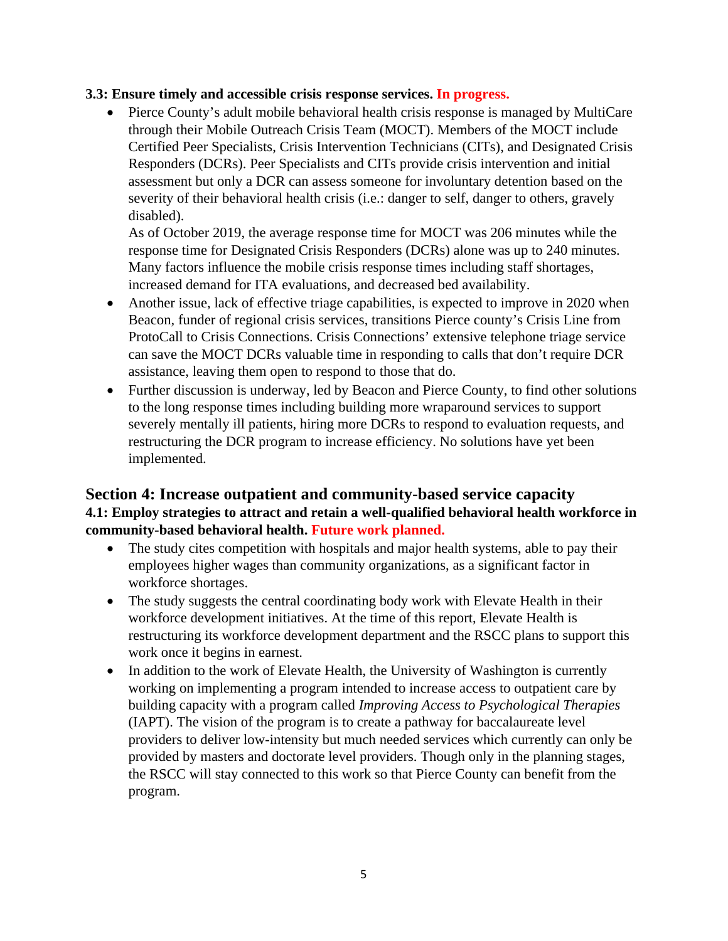#### **3.3: Ensure timely and accessible crisis response services. In progress.**

 Pierce County's adult mobile behavioral health crisis response is managed by MultiCare through their Mobile Outreach Crisis Team (MOCT). Members of the MOCT include Certified Peer Specialists, Crisis Intervention Technicians (CITs), and Designated Crisis Responders (DCRs). Peer Specialists and CITs provide crisis intervention and initial assessment but only a DCR can assess someone for involuntary detention based on the severity of their behavioral health crisis (i.e.: danger to self, danger to others, gravely disabled).

As of October 2019, the average response time for MOCT was 206 minutes while the response time for Designated Crisis Responders (DCRs) alone was up to 240 minutes. Many factors influence the mobile crisis response times including staff shortages, increased demand for ITA evaluations, and decreased bed availability.

- Another issue, lack of effective triage capabilities, is expected to improve in 2020 when Beacon, funder of regional crisis services, transitions Pierce county's Crisis Line from ProtoCall to Crisis Connections. Crisis Connections' extensive telephone triage service can save the MOCT DCRs valuable time in responding to calls that don't require DCR assistance, leaving them open to respond to those that do.
- Further discussion is underway, led by Beacon and Pierce County, to find other solutions to the long response times including building more wraparound services to support severely mentally ill patients, hiring more DCRs to respond to evaluation requests, and restructuring the DCR program to increase efficiency. No solutions have yet been implemented.

# **Section 4: Increase outpatient and community-based service capacity 4.1: Employ strategies to attract and retain a well-qualified behavioral health workforce in community-based behavioral health. Future work planned.**

- The study cites competition with hospitals and major health systems, able to pay their employees higher wages than community organizations, as a significant factor in workforce shortages.
- The study suggests the central coordinating body work with Elevate Health in their workforce development initiatives. At the time of this report, Elevate Health is restructuring its workforce development department and the RSCC plans to support this work once it begins in earnest.
- In addition to the work of Elevate Health, the University of Washington is currently working on implementing a program intended to increase access to outpatient care by building capacity with a program called *Improving Access to Psychological Therapies*  (IAPT). The vision of the program is to create a pathway for baccalaureate level providers to deliver low-intensity but much needed services which currently can only be provided by masters and doctorate level providers. Though only in the planning stages, the RSCC will stay connected to this work so that Pierce County can benefit from the program.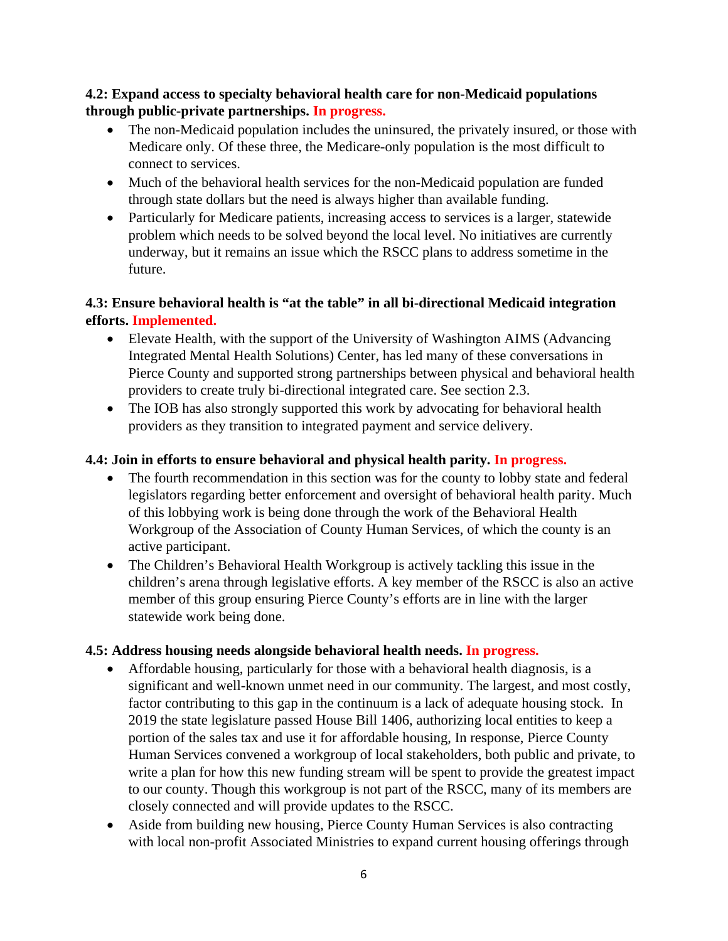# **4.2: Expand access to specialty behavioral health care for non-Medicaid populations through public-private partnerships. In progress.**

- The non-Medicaid population includes the uninsured, the privately insured, or those with Medicare only. Of these three, the Medicare-only population is the most difficult to connect to services.
- Much of the behavioral health services for the non-Medicaid population are funded through state dollars but the need is always higher than available funding.
- Particularly for Medicare patients, increasing access to services is a larger, statewide problem which needs to be solved beyond the local level. No initiatives are currently underway, but it remains an issue which the RSCC plans to address sometime in the future.

# **4.3: Ensure behavioral health is "at the table" in all bi-directional Medicaid integration efforts. Implemented.**

- Elevate Health, with the support of the University of Washington AIMS (Advancing Integrated Mental Health Solutions) Center, has led many of these conversations in Pierce County and supported strong partnerships between physical and behavioral health providers to create truly bi-directional integrated care. See section 2.3.
- The IOB has also strongly supported this work by advocating for behavioral health providers as they transition to integrated payment and service delivery.

# **4.4: Join in efforts to ensure behavioral and physical health parity. In progress.**

- The fourth recommendation in this section was for the county to lobby state and federal legislators regarding better enforcement and oversight of behavioral health parity. Much of this lobbying work is being done through the work of the Behavioral Health Workgroup of the Association of County Human Services, of which the county is an active participant.
- The Children's Behavioral Health Workgroup is actively tackling this issue in the children's arena through legislative efforts. A key member of the RSCC is also an active member of this group ensuring Pierce County's efforts are in line with the larger statewide work being done.

# **4.5: Address housing needs alongside behavioral health needs. In progress.**

- Affordable housing, particularly for those with a behavioral health diagnosis, is a significant and well-known unmet need in our community. The largest, and most costly, factor contributing to this gap in the continuum is a lack of adequate housing stock. In 2019 the state legislature passed House Bill 1406, authorizing local entities to keep a portion of the sales tax and use it for affordable housing, In response, Pierce County Human Services convened a workgroup of local stakeholders, both public and private, to write a plan for how this new funding stream will be spent to provide the greatest impact to our county. Though this workgroup is not part of the RSCC, many of its members are closely connected and will provide updates to the RSCC.
- Aside from building new housing, Pierce County Human Services is also contracting with local non-profit Associated Ministries to expand current housing offerings through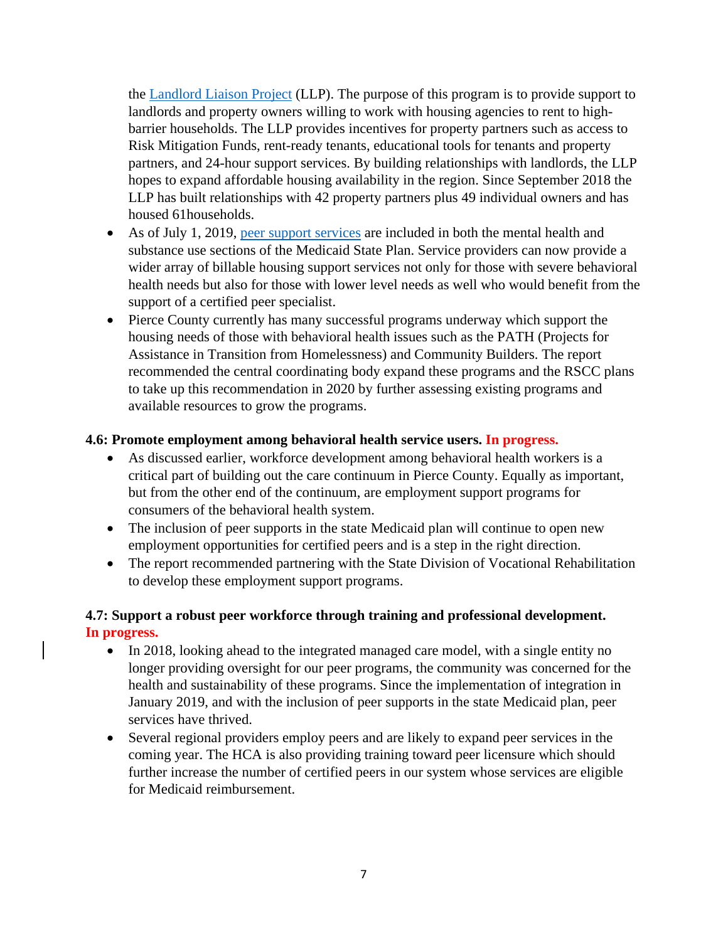the Landlord Liaison Project (LLP). The purpose of this program is to provide support to landlords and property owners willing to work with housing agencies to rent to highbarrier households. The LLP provides incentives for property partners such as access to Risk Mitigation Funds, rent-ready tenants, educational tools for tenants and property partners, and 24-hour support services. By building relationships with landlords, the LLP hopes to expand affordable housing availability in the region. Since September 2018 the LLP has built relationships with 42 property partners plus 49 individual owners and has housed 61households.

- As of July 1, 2019, peer support services are included in both the mental health and substance use sections of the Medicaid State Plan. Service providers can now provide a wider array of billable housing support services not only for those with severe behavioral health needs but also for those with lower level needs as well who would benefit from the support of a certified peer specialist.
- Pierce County currently has many successful programs underway which support the housing needs of those with behavioral health issues such as the PATH (Projects for Assistance in Transition from Homelessness) and Community Builders. The report recommended the central coordinating body expand these programs and the RSCC plans to take up this recommendation in 2020 by further assessing existing programs and available resources to grow the programs.

# **4.6: Promote employment among behavioral health service users. In progress.**

- As discussed earlier, workforce development among behavioral health workers is a critical part of building out the care continuum in Pierce County. Equally as important, but from the other end of the continuum, are employment support programs for consumers of the behavioral health system.
- The inclusion of peer supports in the state Medicaid plan will continue to open new employment opportunities for certified peers and is a step in the right direction.
- The report recommended partnering with the State Division of Vocational Rehabilitation to develop these employment support programs.

# **4.7: Support a robust peer workforce through training and professional development. In progress.**

- In 2018, looking ahead to the integrated managed care model, with a single entity no longer providing oversight for our peer programs, the community was concerned for the health and sustainability of these programs. Since the implementation of integration in January 2019, and with the inclusion of peer supports in the state Medicaid plan, peer services have thrived.
- Several regional providers employ peers and are likely to expand peer services in the coming year. The HCA is also providing training toward peer licensure which should further increase the number of certified peers in our system whose services are eligible for Medicaid reimbursement.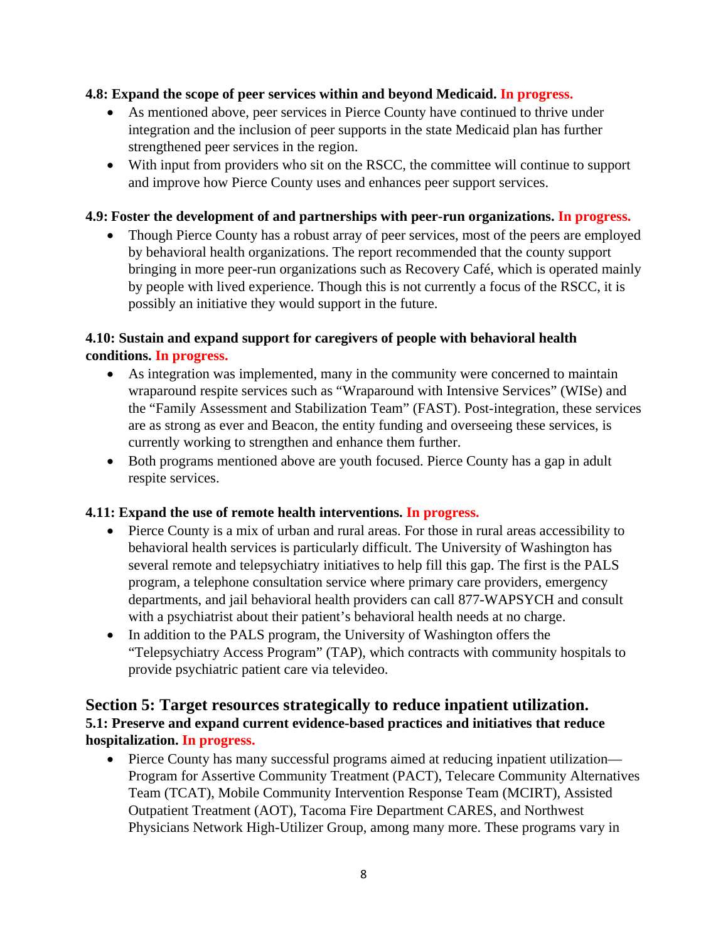#### **4.8: Expand the scope of peer services within and beyond Medicaid. In progress.**

- As mentioned above, peer services in Pierce County have continued to thrive under integration and the inclusion of peer supports in the state Medicaid plan has further strengthened peer services in the region.
- With input from providers who sit on the RSCC, the committee will continue to support and improve how Pierce County uses and enhances peer support services.

#### **4.9: Foster the development of and partnerships with peer-run organizations. In progress.**

 Though Pierce County has a robust array of peer services, most of the peers are employed by behavioral health organizations. The report recommended that the county support bringing in more peer-run organizations such as Recovery Café, which is operated mainly by people with lived experience. Though this is not currently a focus of the RSCC, it is possibly an initiative they would support in the future.

# **4.10: Sustain and expand support for caregivers of people with behavioral health conditions. In progress.**

- As integration was implemented, many in the community were concerned to maintain wraparound respite services such as "Wraparound with Intensive Services" (WISe) and the "Family Assessment and Stabilization Team" (FAST). Post-integration, these services are as strong as ever and Beacon, the entity funding and overseeing these services, is currently working to strengthen and enhance them further.
- Both programs mentioned above are youth focused. Pierce County has a gap in adult respite services.

# **4.11: Expand the use of remote health interventions. In progress.**

- Pierce County is a mix of urban and rural areas. For those in rural areas accessibility to behavioral health services is particularly difficult. The University of Washington has several remote and telepsychiatry initiatives to help fill this gap. The first is the PALS program, a telephone consultation service where primary care providers, emergency departments, and jail behavioral health providers can call 877-WAPSYCH and consult with a psychiatrist about their patient's behavioral health needs at no charge.
- In addition to the PALS program, the University of Washington offers the "Telepsychiatry Access Program" (TAP), which contracts with community hospitals to provide psychiatric patient care via televideo.

# **Section 5: Target resources strategically to reduce inpatient utilization. 5.1: Preserve and expand current evidence-based practices and initiatives that reduce hospitalization. In progress.**

 Pierce County has many successful programs aimed at reducing inpatient utilization— Program for Assertive Community Treatment (PACT), Telecare Community Alternatives Team (TCAT), Mobile Community Intervention Response Team (MCIRT), Assisted Outpatient Treatment (AOT), Tacoma Fire Department CARES, and Northwest Physicians Network High-Utilizer Group, among many more. These programs vary in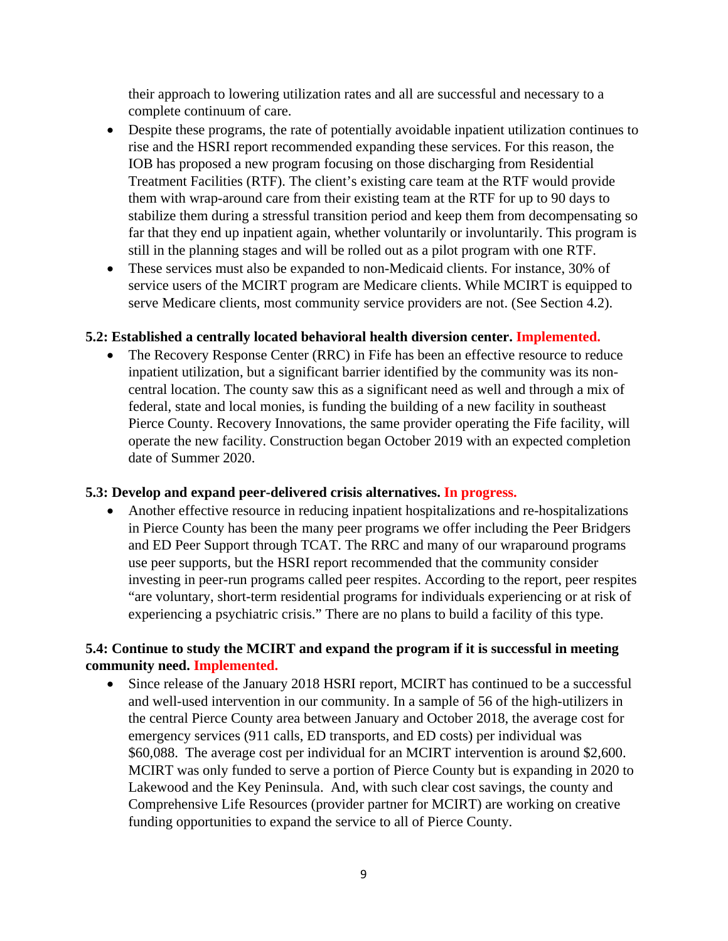their approach to lowering utilization rates and all are successful and necessary to a complete continuum of care.

- Despite these programs, the rate of potentially avoidable inpatient utilization continues to rise and the HSRI report recommended expanding these services. For this reason, the IOB has proposed a new program focusing on those discharging from Residential Treatment Facilities (RTF). The client's existing care team at the RTF would provide them with wrap-around care from their existing team at the RTF for up to 90 days to stabilize them during a stressful transition period and keep them from decompensating so far that they end up inpatient again, whether voluntarily or involuntarily. This program is still in the planning stages and will be rolled out as a pilot program with one RTF.
- These services must also be expanded to non-Medicaid clients. For instance, 30% of service users of the MCIRT program are Medicare clients. While MCIRT is equipped to serve Medicare clients, most community service providers are not. (See Section 4.2).

# **5.2: Established a centrally located behavioral health diversion center. Implemented.**

• The Recovery Response Center (RRC) in Fife has been an effective resource to reduce inpatient utilization, but a significant barrier identified by the community was its noncentral location. The county saw this as a significant need as well and through a mix of federal, state and local monies, is funding the building of a new facility in southeast Pierce County. Recovery Innovations, the same provider operating the Fife facility, will operate the new facility. Construction began October 2019 with an expected completion date of Summer 2020.

#### **5.3: Develop and expand peer-delivered crisis alternatives. In progress.**

 Another effective resource in reducing inpatient hospitalizations and re-hospitalizations in Pierce County has been the many peer programs we offer including the Peer Bridgers and ED Peer Support through TCAT. The RRC and many of our wraparound programs use peer supports, but the HSRI report recommended that the community consider investing in peer-run programs called peer respites. According to the report, peer respites "are voluntary, short-term residential programs for individuals experiencing or at risk of experiencing a psychiatric crisis." There are no plans to build a facility of this type.

# **5.4: Continue to study the MCIRT and expand the program if it is successful in meeting community need. Implemented.**

 Since release of the January 2018 HSRI report, MCIRT has continued to be a successful and well-used intervention in our community. In a sample of 56 of the high-utilizers in the central Pierce County area between January and October 2018, the average cost for emergency services (911 calls, ED transports, and ED costs) per individual was \$60,088. The average cost per individual for an MCIRT intervention is around \$2,600. MCIRT was only funded to serve a portion of Pierce County but is expanding in 2020 to Lakewood and the Key Peninsula. And, with such clear cost savings, the county and Comprehensive Life Resources (provider partner for MCIRT) are working on creative funding opportunities to expand the service to all of Pierce County.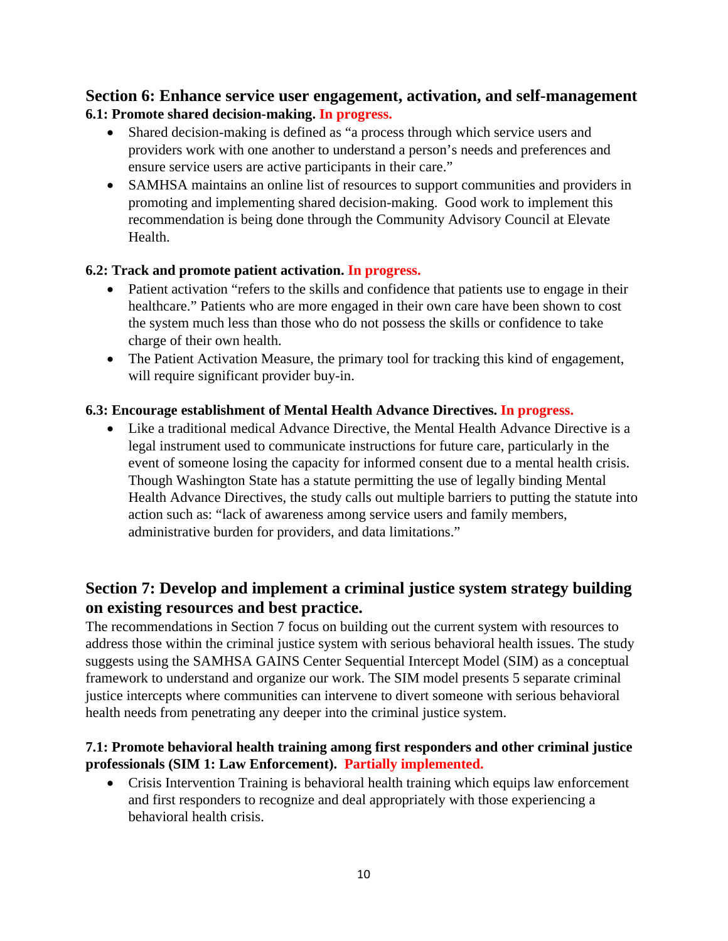# **Section 6: Enhance service user engagement, activation, and self-management 6.1: Promote shared decision-making. In progress.**

- Shared decision-making is defined as "a process through which service users and providers work with one another to understand a person's needs and preferences and ensure service users are active participants in their care."
- SAMHSA maintains an online list of resources to support communities and providers in promoting and implementing shared decision-making. Good work to implement this recommendation is being done through the Community Advisory Council at Elevate Health.

# **6.2: Track and promote patient activation. In progress.**

- Patient activation "refers to the skills and confidence that patients use to engage in their healthcare." Patients who are more engaged in their own care have been shown to cost the system much less than those who do not possess the skills or confidence to take charge of their own health.
- The Patient Activation Measure, the primary tool for tracking this kind of engagement, will require significant provider buy-in.

# **6.3: Encourage establishment of Mental Health Advance Directives. In progress.**

 Like a traditional medical Advance Directive, the Mental Health Advance Directive is a legal instrument used to communicate instructions for future care, particularly in the event of someone losing the capacity for informed consent due to a mental health crisis. Though Washington State has a statute permitting the use of legally binding Mental Health Advance Directives, the study calls out multiple barriers to putting the statute into action such as: "lack of awareness among service users and family members, administrative burden for providers, and data limitations."

# **Section 7: Develop and implement a criminal justice system strategy building on existing resources and best practice.**

The recommendations in Section 7 focus on building out the current system with resources to address those within the criminal justice system with serious behavioral health issues. The study suggests using the SAMHSA GAINS Center Sequential Intercept Model (SIM) as a conceptual framework to understand and organize our work. The SIM model presents 5 separate criminal justice intercepts where communities can intervene to divert someone with serious behavioral health needs from penetrating any deeper into the criminal justice system.

# **7.1: Promote behavioral health training among first responders and other criminal justice professionals (SIM 1: Law Enforcement). Partially implemented.**

• Crisis Intervention Training is behavioral health training which equips law enforcement and first responders to recognize and deal appropriately with those experiencing a behavioral health crisis.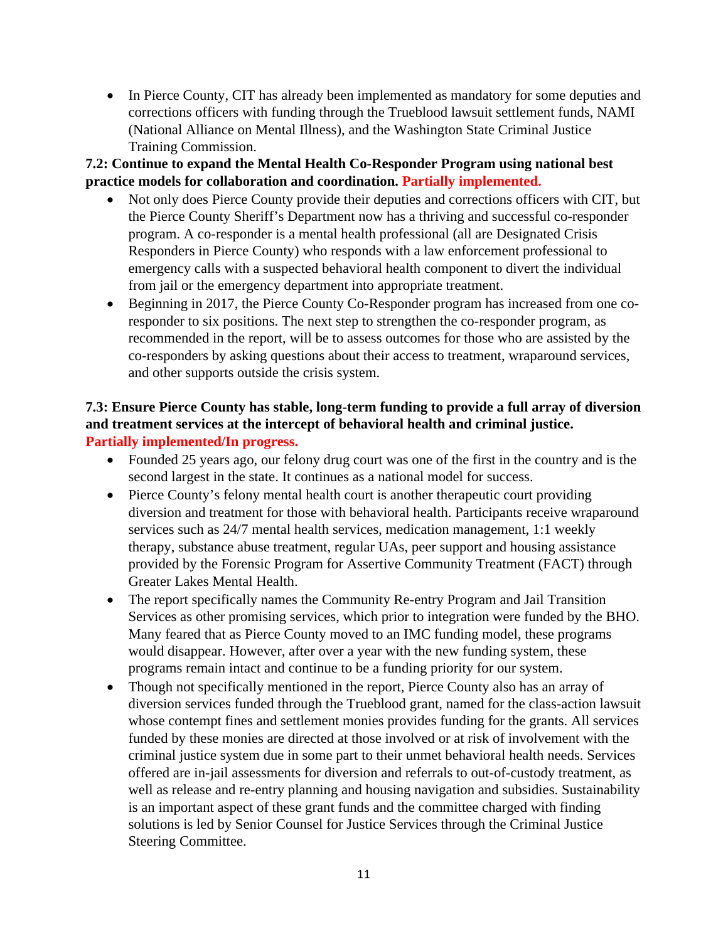• In Pierce County, CIT has already been implemented as mandatory for some deputies and corrections officers with funding through the Trueblood lawsuit settlement funds, NAMI (National Alliance on Mental Illness), and the Washington State Criminal Justice Training Commission.

# **7.2: Continue to expand the Mental Health Co-Responder Program using national best practice models for collaboration and coordination. Partially implemented.**

- Not only does Pierce County provide their deputies and corrections officers with CIT, but the Pierce County Sheriff's Department now has a thriving and successful co-responder program. A co-responder is a mental health professional (all are Designated Crisis Responders in Pierce County) who responds with a law enforcement professional to emergency calls with a suspected behavioral health component to divert the individual from jail or the emergency department into appropriate treatment.
- Beginning in 2017, the Pierce County Co-Responder program has increased from one coresponder to six positions. The next step to strengthen the co-responder program, as recommended in the report, will be to assess outcomes for those who are assisted by the co-responders by asking questions about their access to treatment, wraparound services, and other supports outside the crisis system.

# **7.3: Ensure Pierce County has stable, long-term funding to provide a full array of diversion and treatment services at the intercept of behavioral health and criminal justice. Partially implemented/In progress.**

- Founded 25 years ago, our felony drug court was one of the first in the country and is the second largest in the state. It continues as a national model for success.
- Pierce County's felony mental health court is another therapeutic court providing diversion and treatment for those with behavioral health. Participants receive wraparound services such as 24/7 mental health services, medication management, 1:1 weekly therapy, substance abuse treatment, regular UAs, peer support and housing assistance provided by the Forensic Program for Assertive Community Treatment (FACT) through Greater Lakes Mental Health.
- The report specifically names the Community Re-entry Program and Jail Transition Services as other promising services, which prior to integration were funded by the BHO. Many feared that as Pierce County moved to an IMC funding model, these programs would disappear. However, after over a year with the new funding system, these programs remain intact and continue to be a funding priority for our system.
- Though not specifically mentioned in the report, Pierce County also has an array of diversion services funded through the Trueblood grant, named for the class-action lawsuit whose contempt fines and settlement monies provides funding for the grants. All services funded by these monies are directed at those involved or at risk of involvement with the criminal justice system due in some part to their unmet behavioral health needs. Services offered are in-jail assessments for diversion and referrals to out-of-custody treatment, as well as release and re-entry planning and housing navigation and subsidies. Sustainability is an important aspect of these grant funds and the committee charged with finding solutions is led by Senior Counsel for Justice Services through the Criminal Justice Steering Committee.